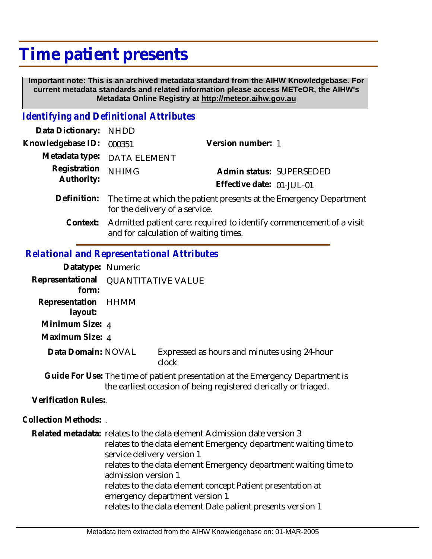## **Time patient presents**

 **Important note: This is an archived metadata standard from the AIHW Knowledgebase. For current metadata standards and related information please access METeOR, the AIHW's Metadata Online Registry at http://meteor.aihw.gov.au**

## *Identifying and Definitional Attributes*

| Data Dictionary: NHDD      |                                                                                |                           |                          |
|----------------------------|--------------------------------------------------------------------------------|---------------------------|--------------------------|
| Knowledgebase ID: 000351   |                                                                                | Version number: 1         |                          |
|                            | Metadata type: DATA ELEMENT                                                    |                           |                          |
| Registration<br>Authority: | <b>NHIMG</b>                                                                   |                           | Admin status: SUPERSEDED |
|                            |                                                                                | Effective date: 01-JUL-01 |                          |
|                            | Definition: The time at which the patient presents at the Emergency Department |                           |                          |

- for the delivery of a service.
	- Admitted patient care: required to identify commencement of a visit and for calculation of waiting times. **Context:**

## *Relational and Representational Attributes*

| Datatype: Numeric          |                                                                                                                                                                                                                                                                                                                                                                                                                                     |                                                       |  |
|----------------------------|-------------------------------------------------------------------------------------------------------------------------------------------------------------------------------------------------------------------------------------------------------------------------------------------------------------------------------------------------------------------------------------------------------------------------------------|-------------------------------------------------------|--|
| Representational<br>form:  | <b>QUANTITATIVE VALUE</b>                                                                                                                                                                                                                                                                                                                                                                                                           |                                                       |  |
| Representation<br>layout:  | HHMM                                                                                                                                                                                                                                                                                                                                                                                                                                |                                                       |  |
| Minimum Size: 4            |                                                                                                                                                                                                                                                                                                                                                                                                                                     |                                                       |  |
| Maximum Size: 4            |                                                                                                                                                                                                                                                                                                                                                                                                                                     |                                                       |  |
| Data Domain: NOVAL         |                                                                                                                                                                                                                                                                                                                                                                                                                                     | Expressed as hours and minutes using 24-hour<br>clock |  |
|                            | Guide For Use: The time of patient presentation at the Emergency Department is<br>the earliest occasion of being registered clerically or triaged.                                                                                                                                                                                                                                                                                  |                                                       |  |
| <b>Verification Rules:</b> |                                                                                                                                                                                                                                                                                                                                                                                                                                     |                                                       |  |
| Collection Methods: .      |                                                                                                                                                                                                                                                                                                                                                                                                                                     |                                                       |  |
|                            | Related metadata: relates to the data element Admission date version 3<br>relates to the data element Emergency department waiting time to<br>service delivery version 1<br>relates to the data element Emergency department waiting time to<br>admission version 1<br>relates to the data element concept Patient presentation at<br>emergency department version 1<br>relates to the data element Date patient presents version 1 |                                                       |  |